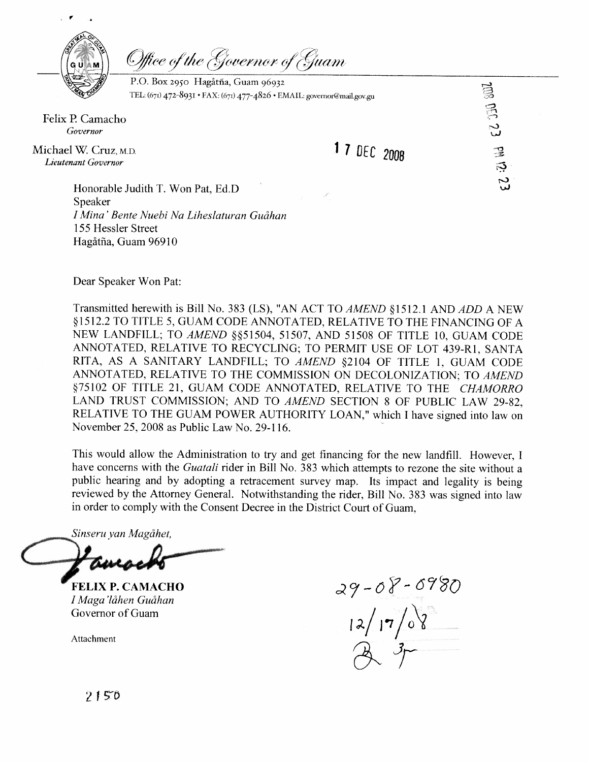

Office of the Governor of Guam

P.O. Box 2950 Hagatha, Guam 96932<br>
TEL: (671) 472-8931 • FAX: (671) 477-4826 • EMAIL: governor@mail.gov.gu<br> **17** DEC 2008 TEL: (671) 472-8931 · FAX: (671) 477-4826 · EMAIL: governor@mail.gov.gu

Felix P. Camacho *Governor* 

Michael W. Cruz, M.D. *Lieutenant Governor* 

1 7 DEC 2008

Honorable Judith T. Won Pat, Ed.D Speaker I *Mina' Bente Nuebi Na Liheslaturan GuBhan*  1 55 Hessler Street Hagåtña, Guam 96910

Dear Speaker Won Pat:

Transmitted herewith is Bill No. 383 (LS), "AN ACT TO *AMEND* § 1512.1 AND *ADD* A NEW \$1512.2 TO TITLE 5, GUAM CODE ANNOTATED, RELATIVE TO THE FINANCING OF A NEW LANDFILL; TO AMEND §§51504, 51507, AND 51508 OF TITLE 10, GUAM CODE ANNOTATED, RELATIVE TO RECYCLING; TO PERMIT USE OF LOT 439-R1, SANTA RITA, AS A SANITARY LANDFILL; TO *AMEND* \$2104 OF TITLE 1, GUAM CODE ANNOTATED, RELATIVE TO THE COMMISSION ON DECOLONIZATION; TO *AMEND*  \$75102 OF TITLE 21, GUAM CODE ANNOTATED, RELATIVE TO THE *CHAMORRO*  LAND TRUST COMMISSION; AND TO *AMEND* SECTION 8 OF PUBLIC LAW 29-82, RELATIVE TO THE GUAM POWER AUTHORITY LOAN," which I have signed into law on November 25,2008 as Public Law No. 29-1 16.

This would allow the Administration to try and get financing for the new landfill. However, I have concerns with the *Guatali* rider in Bill No. 383 which attempts to rezone the site without a public hearing and by adopting a retracement survey map. Its impact and legality is being reviewed by the Attorney General. Notwithstanding the rider, Bill No. 383 was signed into law in order to comply with the Consent Decree in the District Court of Guam,

*Sinseru yan Magihet,* 

**FELIX P. CAMACHO**  *I Maga'l6hen GuBhan*  Governor of Guam

Attachment

 $29 - 08 - 0980$ <br>12/17/08

2150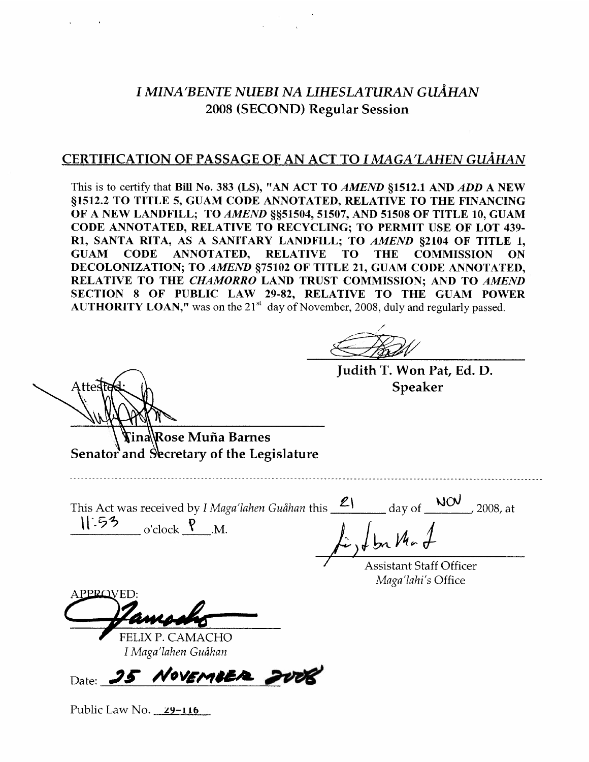# *I MINA'BENTE NUEBI NA LIHESLATURAN GUÅHAN 2008* (SECOND) Regular Session

## CERTIFICATION OF PASSAGE OF AN ACT TO I MAGA'LAHEN GUÅHAN

This is to certify that Bill No. 383 (LS), "AN ACT TO *AMEND* \$1512.1 AND *ADD* A NEW \$1512.2 TO TITLE 5, GUAM CODE ANNOTATED, RELATIVE TO THE FINANCING OF A NEW LANDFILL; TO AMEND §§51504, 51507, AND 51508 OF TITLE 10, GUAM CODE ANNOTATED, RELATIVE TO RECYCLING; TO PERMIT USE OF LOT 439- R1, SANTA RITA, AS A SANITARY LANDFILL; TO *AMEND* §2104 OF TITLE 1, GUAM CODE ANNOTATED, RELATIVE TO THE COMMISSION ON CODE ANNOTATED, RELATIVE TO THE COMMISSION ON DECOLONIZATION; TO *AMEND* \$75102 OF TITLE 21, GUAM CODE ANNOTATED, RELATIVE TO THE CHAMORRO LAND TRUST COMMISSION; AND TO *AMEND*  SECTION 8 OF PUBLIC LAW 29-82, RELATIVE TO THE GUAM POWER **AUTHORITY LOAN,"** was on the 21<sup>st</sup> day of November, 2008, duly and regularly passed.

Judith T. Won Pat, Ed. D. Speaker

Rose Muña Barnes Senator and Secretary of the Legislature

This Act was received by I Maga'lahen Guåhan this <u>21</u> day of NOV, 2008, at  $\mathcal{V}$  53 o'clock  $\mathcal{P}$  M.  $L$ , Ibn Ma

/ Assistant Staff Officer *Maga'lahi's* Office

APPROVED:

**f** FELIX P. CAMACHO *I Maga'lahen Gudhan* 

Date: **35 NOVEMBER** 

Public Law No. **ZY-116**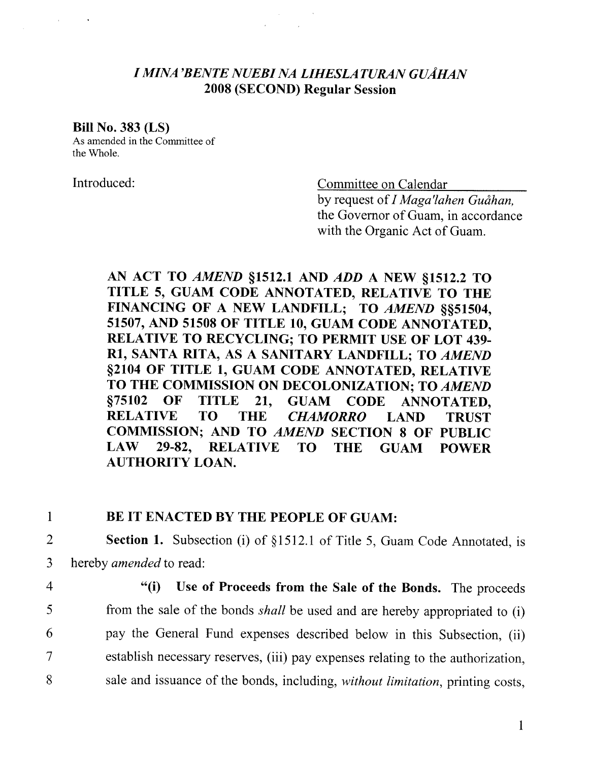## *I MINA 'BENTE NUEBI NA LIHESLATURAN GUAHAN*  2008 (SECOND) Regular Session

#### Bill No. 383 (LS)

As amended in the Committee of the Whole.

Introduced: Committee on Calendar

by request of *I Maga'lahen Guåhan*. the Governor of Guam, in accordance with the Organic Act of Guam.

AN ACT TO *AMEND* 51512.1 AND *ADD* A NEW 51512.2 TO TITLE 5, GUAM CODE ANNOTATED, RELATIVE TO THE FINANCING OF A NEW LANDFILL; TO AMEND \$\$51504, 51507, AND 51508 OF TITLE 10, GUAM CODE ANNOTATED, RELATIVE TO RECYCLING; TO PERMIT USE OF LOT 439- **R1,** SANTA RITA, AS A SANITARY LANDFILL; TO *AMEND*  \$2104 OF TITLE 1, GUAM CODE ANNOTATED, RELATIVE TO THE COMMISSION ON DECOLONIZATION; TO *AMEND*  575102 OF TITLE 21, GUAM CODE ANNOTATED, RELATIVE TO THE *CHAMORRO* LAND TRUST COMMISSION; AND TO *AMEND* SECTION 8 OF PUBLIC LAW 29-82, RELATIVE TO THE GUAM POWER AUTHORITY LOAN.

### 1 BE IT ENACTED BY THE PEOPLE OF GUAM:

- 2 Section 1. Subsection (i) of §1512.1 of Title 5, Guam Code Annotated, is 3 hereby amended to read:
- 

4 "(i) Use of Proceeds from the Sale of the Bonds. The proceeds 5 from the sale of the bonds *shall* be used and are hereby appropriated to (i) 6 pay the General Fund expenses described below in this Subsection, (ii) 7 establish necessary reserves, (iii) pay expenses relating to the authorization, 8 sale and issuance of the bonds, including, without limitation, printing costs,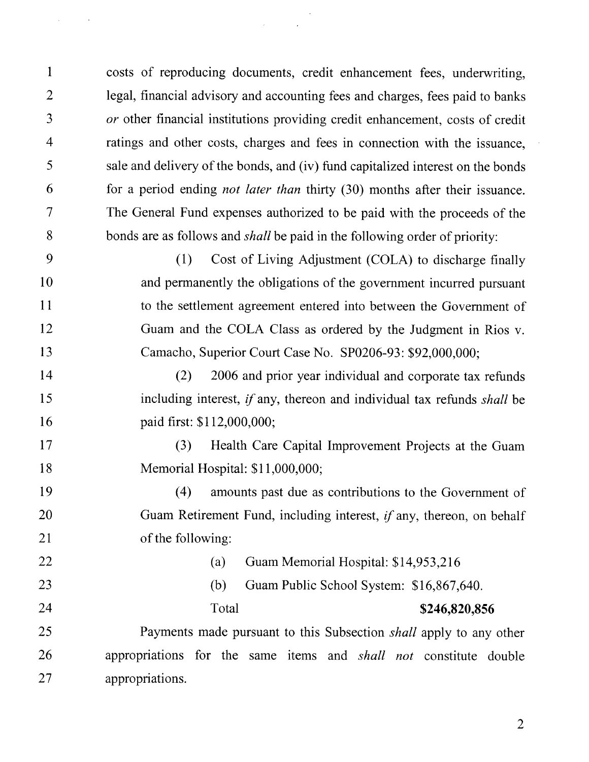$\mathbf{1}$ costs of reproducing documents, credit enhancement fees, underwriting,  $\overline{2}$ legal, financial advisory and accounting fees and charges, fees paid to banks  $\overline{3}$ *or* other financial institutions providing credit enhancement, costs of credit ratings and other costs, charges and fees in connection with the issuance,  $\overline{4}$ 5 sale and delivery of the bonds, and (iv) fund capitalized interest on the bonds 6 for a period ending *not later than* thirty (30) months after their issuance. The General Fund expenses authorized to be paid with the proceeds of the  $\tau$ 8 bonds are as follows and *shall* be paid in the following order of priority:

9 (I) Cost of Living Adjustment (COLA) to discharge finally 10 and permanently the obligations of the government incurred pursuant 11 to the settlement agreement entered into between the Government of 12 Guam and the COLA Class as ordered by the Judgment in Rios v. 13 Camacho, Superior Court Case No. SP0206-93: \$92,000,000;

14 (2) 2006 and prior year individual and corporate tax rehnds 15 including interest, if any, thereon and individual tax refunds *shall* be paid first: \$1 12,000,000; 16

17 (3) Health Care Capital Improvement Projects at the Guam 18 Memorial Hospital: \$1 1,000,000;

19 (4) amounts past due as contributions to the Government of 20 Guam Retirement Fund, including interest, if any, thereon, on behalf of the following: 21

| 22 | (a)   | Guam Memorial Hospital: \$14,953,216     |                                                                           |  |
|----|-------|------------------------------------------|---------------------------------------------------------------------------|--|
| 23 | (b)   | Guam Public School System: \$16,867,640. |                                                                           |  |
| 24 | Total |                                          | \$246,820,856                                                             |  |
| 25 |       |                                          | Payments made pursuant to this Subsection <i>shall</i> apply to any other |  |
| 26 |       |                                          | appropriations for the same items and <i>shall not</i> constitute double  |  |

27 appropriations.

 $\mathcal{L}^{\mathcal{L}}$ 

 $\overline{2}$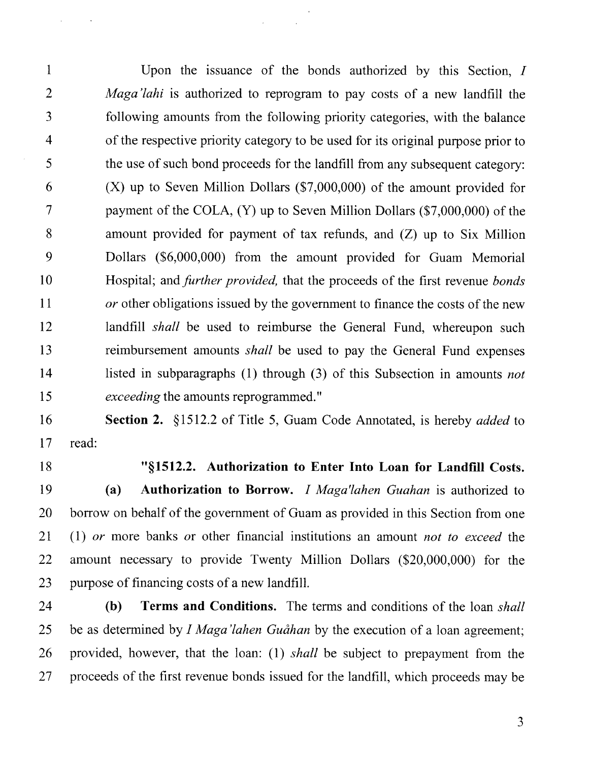$\mathbf{1}$ Upon the issuance of the bonds authorized by this Section, I  $\overline{2}$ *Maga'lahi* is authorized to reprogram to pay costs of a new landfill the following amounts from the following priority categories, with the balance  $\overline{3}$  $\overline{4}$ of the respective priority category to be used for its original purpose prior to 5 the use of such bond proceeds for the landfill from any subsequent category: 6 (X) up to Seven Million Dollars (\$7,000,000) of the amount provided for  $\tau$ payment of the COLA, (Y) up to Seven Million Dollars (\$7,000,000) of the 8 amount provided for payment of tax refunds, and (Z) up to Six Million 9 Dollars (\$6,000,000) from the amount provided for Guam Memorial 10 Hospital; and *further provided,* that the proceeds of the first revenue *bonds or* other obligations issued by the government to finance the costs of the new 11 12 landfill *shall* be used to reimburse the General Fund, whereupon such 13 reimbursement amounts *shall* be used to pay the General Fund expenses listed in subparagraphs (I) through (3) of this Subsection in amounts *not*  14 15 *exceeding* the amounts reprogrammed. "

#### 16 **Section 2.** §1512.2 of Title 5, Guam Code Annotated, is hereby *added* to 17 read:

18

#### **"51512.2. Authorization to Enter Into Loan for Landfill Costs.**

19 **(a) Authorization to Borrow. I** *Maga'lahen Guahan* is authorized to borrow on behalf of the government of Guam as provided in this Section from one 20 (1) *or* more banks *or* other financial institutions an amount *not to exceed* the 21 22 amount necessary to provide Twenty Million Dollars (\$20,000,000) for the 23 purpose of financing costs of a new landfill.

24 **(b) Terms and Conditions.** The terms and conditions of the loan *shall*  25 be as determined by *I Maga'lahen Guåhan* by the execution of a loan agreement; 26 provided, however, that the loan: (1) *shall* be subject to prepayment from the 27 proceeds of the first revenue bonds issued for the landfill, which proceeds may be

 $\overline{3}$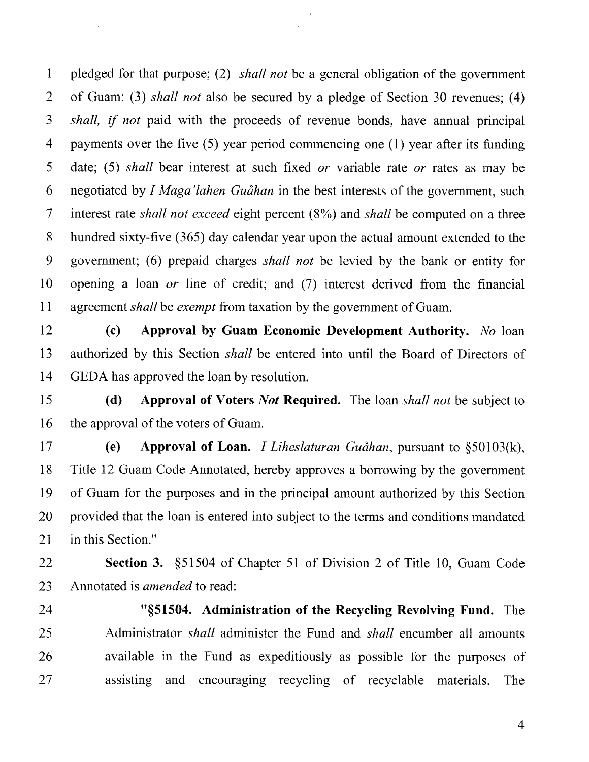$\mathbf{1}$ pledged for that purpose; (2) *shall not* be a general obligation of the government  $\overline{2}$ of Guam: (3) *shall not* also be secured by a pledge of Section 30 revenues; (4)  $\overline{3}$ *shall,* if *not* paid with the proceeds of revenue bonds, have annual principal  $\overline{4}$ payments over the five  $(5)$  year period commencing one  $(1)$  year after its funding 5 date; (5) *shall* bear interest at such fixed *or* variable rate *or* rates as may be 6 negotiated by *I Maga'lahen Guåhan* in the best interests of the government, such  $\tau$ interest rate *shall not exceed* eight percent (8%) and *shall* be computed on a three 8 hundred sixty-five (365) day calendar year upon the actual amount extended to the 9 government; (6) prepaid charges *shall not* be levied by the bank or entity for 10 opening a loan *or* line of credit; and (7) interest derived from the financial 11 agreement *shall* be *exempt* from taxation by the government of Guam.

**(c) Approval by Guam Economic Development Authority.** *No* loan 12 authorized by this Section *shall* be entered into until the Board of Directors of 13 14 GEDA has approved the loan by resolution.

**(d) Approval of Voters** *Not* **Required.** The loan *shall not* be subject to 15 16 the approval of the voters of Guam.

 $17$ **(e) Approval of Loan. I** *Liheslaturan Gudhan,* pursuant to §50103(k), Title 12 Guam Code Annotated, hereby approves a borrowing by the government 18 of Guam for the purposes and in the principal amount authorized by this Section 19 20 provided that the loan is entered into subject to the terms and conditions mandated 21 in this Section."

22 **Section 3.** \$51504 of Chapter 51 of Division 2 of Title 10, Guam Code 23 Annotated is *amended* to read:

24

**"\$51504. Administration of the Recycling Revolving Fund.** The Administrator *shall* administer the Fund and *shall* encumber all amounts 25 available in the Fund as expeditiously as possible for the purposes of 26 assisting and encouraging recycling of recyclable materials. The 27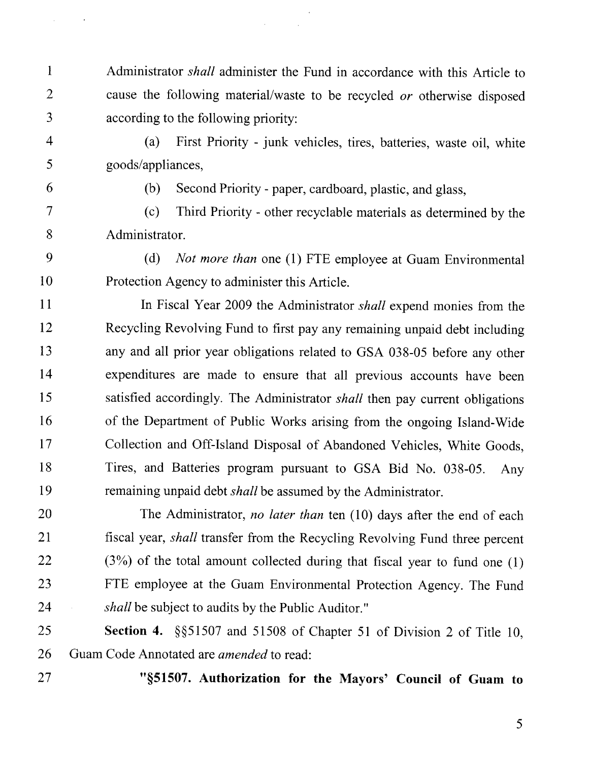- 1 Administrator *shall* administer the Fund in accordance with this Article to 2 cause the following materiallwaste to be recycled *or* otherwise disposed 3 according to the following priority:
- 

 $\mathcal{L}^{\pm}$ 

4 (a) First Priority - junk vehicles, tires, batteries, waste oil, white 5 goods/appliances,

6 (b) Second Priority - paper, cardboard, plastic, and glass,

7 (c) Third Priority - other recyclable materials as determined by the 8 Administrator.

9 (d) *Not more than* one (1) FTE employee at Guam Environmental 10 Protection Agency to administer this Article.

11 In Fiscal Year 2009 the Administrator *shall* expend monies from the 12 Recycling Revolving Fund to first pay any remaining unpaid debt including 13 any and all prior year obligations related to GSA 038-05 before any other 14 expenditures are made to ensure that all previous accounts have been 15 satisfied accordingly. The Administrator *shall* then pay current obligations 16 of the Department of Public Works arising from the ongoing Island-Wide 17 Collection and Off-Island Disposal of Abandoned Vehicles, White Goods, 18 Tires, and Batteries program pursuant to GSA Bid No. 038-05. Any 19 remaining unpaid debt *shall* be assumed by the Administrator.

20 The Administrator, no *later than* ten (10) days after the end of each 21 fiscal year, *shall* transfer from the Recycling Revolving Fund three percent  $22$  (3%) of the total amount collected during that fiscal year to fund one (1) 23 FTE employee at the Guam Environmental Protection Agency. The Fund 24 *shall* be subject to audits by the Public Auditor."

25 **Section 4. \$55** 1507 and 5 1508 of Chapter 5 1 of Division 2 of Title 10, 26 Guam Code Annotated are *amended* to read:

27 **"851507. Authorization for the Mayors' Council of Guam to**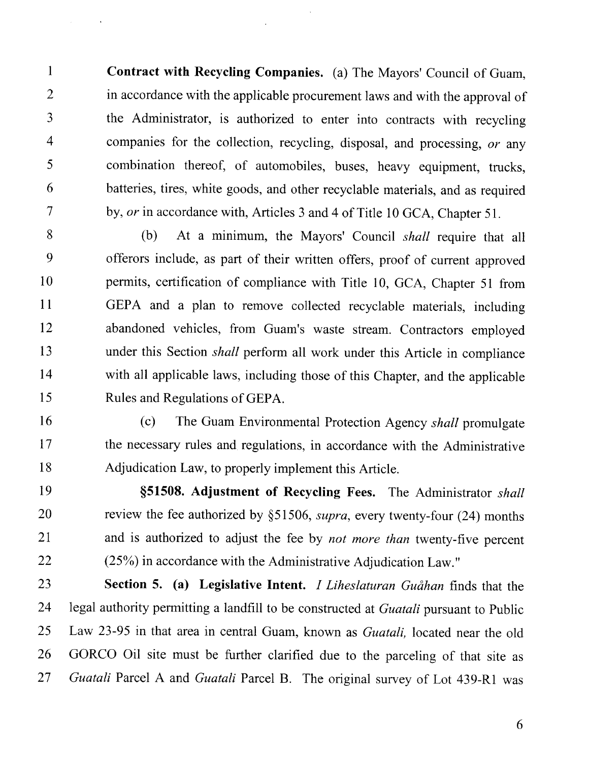$\mathbf{1}$ **Contract with Recycling Companies.** (a) The Mayors' Council of Guam,  $\overline{2}$ in accordance with the applicable procurement laws and with the approval of the Administrator, is authorized to enter into contracts with recycling  $\overline{3}$  $\overline{4}$ companies for the collection, recycling, disposal, and processing, *or* any 5 combination thereof, of automobiles, buses, heavy equipment, trucks, batteries, tires, white goods, and other recyclable materials, and as required 6  $\overline{7}$ by, or in accordance with, Articles 3 and 4 of Title 10 GCA, Chapter *5* 1.

8 (b) At a minimum, the Mayors' Council *shall* require that all 9 offerors include, as part of their written offers, proof of current approved permits, certification of compliance with Title 10, GCA, Chapter 51 from 10  $11$ GEPA and a plan to remove collected recyclable materials, including 12 abandoned vehicles, from Guam's waste stream. Contractors employed 13 under this Section *shall* perform all work under this Article in compliance with all applicable laws, including those of this Chapter, and the applicable 14 15 Rules and Regulations of GEPA.

- (c) The Guam Environmental Protection Agency *shall* promulgate 16 17 the necessary rules and regulations, in accordance with the Administrative 18 Adjudication Law, to properly implement this Article.
- 19 **\$51508. Adjustment of Recycling Fees.** The Administrator *shall*  review the fee authorized by \$5 1506, *supra,* every twenty-four *(24)* months 20 21 and is authorized to adjust the fee by *not more than* twenty-five percent (25%) in accordance with the Administrative Adjudication Law." 22

23 Section 5. (a) Legislative Intent. *I Liheslaturan Guåhan* finds that the 24 legal authority permitting a landfill to be constructed at *Guatali* pursuant to Public 25 Law 23-95 in that area in central Guam, known as *Guatali,* located near the old 26 GORCO Oil site must be further clarified due to the parceling of that site as *Guatali* Parcel A and *Guatali* Parcel B. The original survey of Lot 439-R1 was 27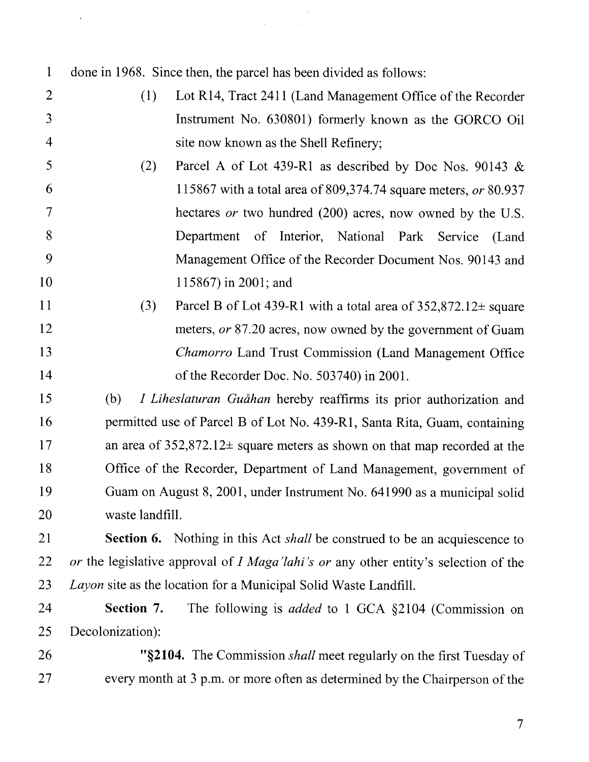| $\mathbf{1}$   | done in 1968. Since then, the parcel has been divided as follows:                   |  |  |  |
|----------------|-------------------------------------------------------------------------------------|--|--|--|
| $\overline{2}$ | (1)<br>Lot R14, Tract 2411 (Land Management Office of the Recorder                  |  |  |  |
| 3              | Instrument No. 630801) formerly known as the GORCO Oil                              |  |  |  |
| $\overline{4}$ | site now known as the Shell Refinery;                                               |  |  |  |
| 5              | (2)<br>Parcel A of Lot 439-R1 as described by Doc Nos. 90143 &                      |  |  |  |
| 6              | 115867 with a total area of 809,374.74 square meters, or 80.937                     |  |  |  |
| $\tau$         | hectares or two hundred (200) acres, now owned by the U.S.                          |  |  |  |
| 8              | Department of Interior, National Park Service (Land                                 |  |  |  |
| 9              | Management Office of the Recorder Document Nos. 90143 and                           |  |  |  |
| 10             | 115867) in 2001; and                                                                |  |  |  |
| <sup>11</sup>  | (3)<br>Parcel B of Lot 439-R1 with a total area of $352,872.12 \pm$ square          |  |  |  |
| 12             | meters, or 87.20 acres, now owned by the government of Guam                         |  |  |  |
| 13             | <i>Chamorro</i> Land Trust Commission (Land Management Office                       |  |  |  |
| 14             | of the Recorder Doc. No. 503740) in 2001.                                           |  |  |  |
| 15             | (b)<br>I Liheslaturan Guåhan hereby reaffirms its prior authorization and           |  |  |  |
| 16             | permitted use of Parcel B of Lot No. 439-R1, Santa Rita, Guam, containing           |  |  |  |
| 17             | an area of $352,872.12 \pm$ square meters as shown on that map recorded at the      |  |  |  |
| 18             | Office of the Recorder, Department of Land Management, government of                |  |  |  |
| 19             | Guam on August 8, 2001, under Instrument No. 641990 as a municipal solid            |  |  |  |
| 20             | waste landfill.                                                                     |  |  |  |
| 21             | Section 6. Nothing in this Act <i>shall</i> be construed to be an acquiescence to   |  |  |  |
| 22             | or the legislative approval of I Maga'lahi's or any other entity's selection of the |  |  |  |
| 23             | Layon site as the location for a Municipal Solid Waste Landfill.                    |  |  |  |
| 24             | Section 7.<br>The following is <i>added</i> to 1 GCA §2104 (Commission on           |  |  |  |
| 25             | Decolonization):                                                                    |  |  |  |

 $\mathcal{A}^{\mathcal{A}}$ 

 $\sim 10^7$ 

 $\mathcal{L}^{\mathcal{L}}$ 

 $\langle \rangle$ 

26 **"\$2104.** The Commission *shall* meet regularly on the first Tuesday of every month at 3 p.m. or more often as determined by the Chairperson of the 27

 $\boldsymbol{7}$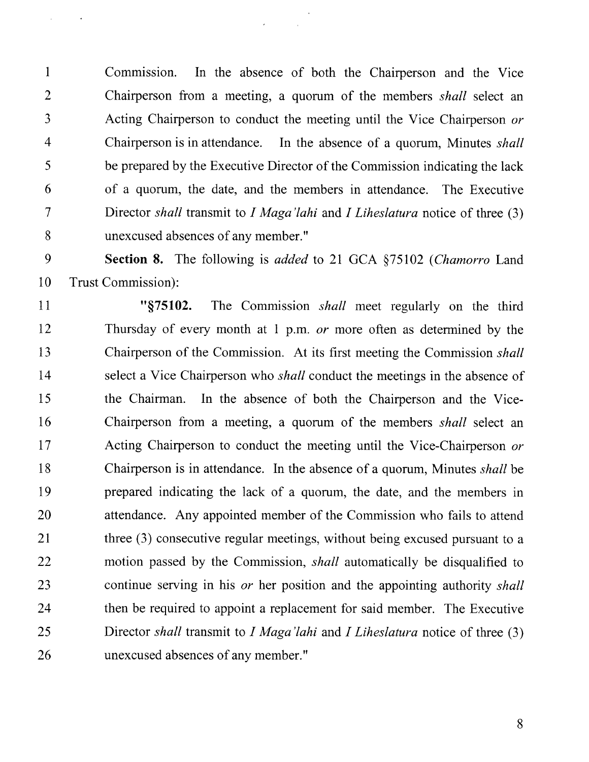1 Commission. In the absence of both the Chairperson and the Vice 2 Chairperson from a meeting, a quorum of the members *shall* select an 3 Acting Chairperson to conduct the meeting until the Vice Chairperson *or*  4 Chairperson is in attendance. In the absence of a quorum, Minutes *shall*  5 be prepared by the Executive Director of the Commission indicating the lack 6 of a quorum, the date, and the members in attendance. The Executive 7 Director *shall* transmit to *I Maga'lahi* and *I Liheslatura* notice of three (3) 8 unexcused absences of any member."

 $\mathcal{L}_{\mathcal{A}}$ 

9 **Section 8.** The following is *added* to 21 GCA \$75102 *(Chamorro* Land 10 Trust Commission):

11 **"\$75102.** The Commission *shall* meet regularly on the third 12 Thursday of every month at 1 p.m. *or* more often as determined by the 13 Chairperson of the Commission. At its first meeting the Commission *shall*  14 select a Vice Chairperson who *shall* conduct the meetings in the absence of 15 the Chairman. In the absence of both the Chairperson and the Vice-16 Chairperson from a meeting, a quorum of the members *shall* select an *17* Acting Chairperson to conduct the meeting until the Vice-Chairperson *or*  18 Chairperson is in attendance. In the absence of a quorum, Minutes *shall* be 19 prepared indicating the lack of a quorum, the date, and the members in 20 attendance. Any appointed member of the Commission who fails to attend 21 three (3) consecutive regular meetings, without being excused pursuant to a 22 motion passed by the Commission, *shall* automatically be disqualified to 23 continue serving in his *or* her position and the appointing authority *shall*  24 then be required to appoint a replacement for said member. The Executive 25 Director *shall* transmit to *I Maga'lahi* and *I Liheslatura* notice of three (3) 26 unexcused absences of any member."

8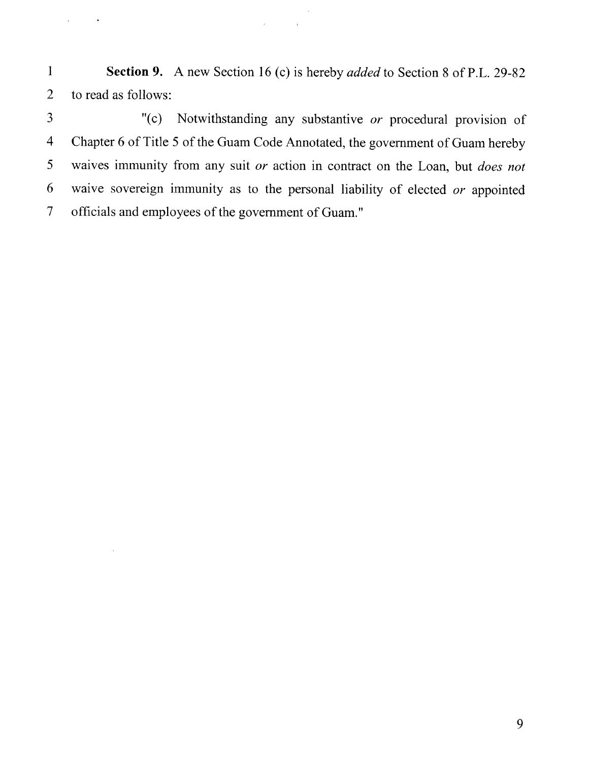1 **Section 9.** A new Section 16 (c) is hereby *added* to Section 8 of P.L. 29-82 2 to read as follows:

 $\mathcal{L}^{\text{max}}$  and  $\mathcal{L}^{\text{max}}$ 

 $\hat{\rho}^{(0)}$ 

 $\Delta \phi = 0.01$  .  $\Delta \phi$ 

3 "(c) Notwithstanding any substantive or procedural provision of 4 Chapter 6 of Title 5 of the Guam Code Annotated, the government of Guam hereby 5 waives immunity from any suit or action in contract on the Loan, but *does not*  6 waive sovereign immunity as to the personal liability of elected or appointed 7 officials and employees of the government of Guam."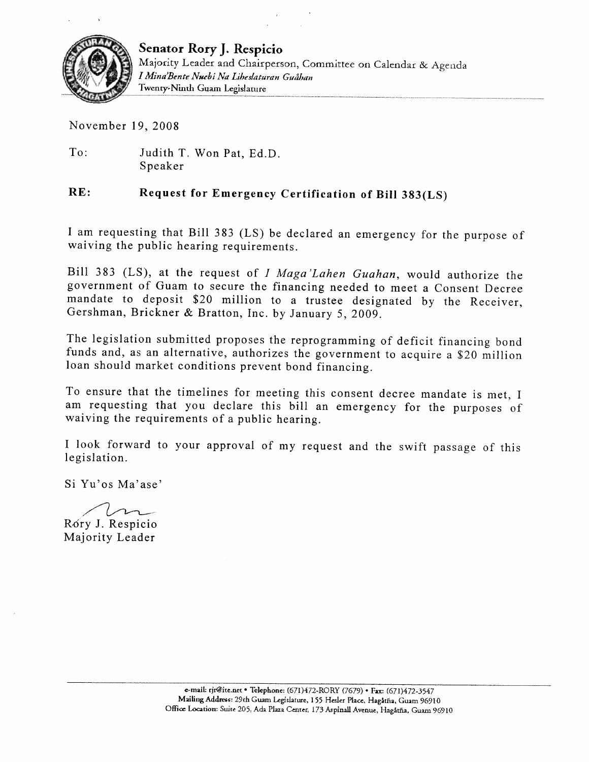

**Senator Rory** J. **Respicio**  Majority Leader and Chairperson, Committee on Calendar & Agenda I Mina'Bente Nucbi Na Libeslaturan Guåban<br>Twenty-Ninth Guam Legislature

November 19, 2008

To: Judith T. Won Pat, Ed.D. Speaker

## **RE: Request for Emergency Certification of Bill 383(LS)**

I am requesting that Bill 383 (LS) be declared an emergency for the purpose of waiving the public hearing requirements.

Bill 383 (LS), at the request of I Maga'Lahen Guahan, would authorize the government of Guam to secure the financing needed to meet a Consent Decree mandate to deposit \$20 million to a trustee designated by the Receiver, Gershman, Brickner & Bratton, Inc. by January 5, 2009.

The legislation submitted proposes the reprogramming of deficit financing bond funds and, as an alternative, authorizes the government to acquire a \$20 million loan should market conditions prevent bond financing.

To ensure that the timelines for meeting this consent decree mandate is met, I am requesting that you declare this bill an emergency for the purposes of waiving the requirements of a public hearing.

I look forward to your approval of my request and the swift passage of this legislation.

Si Yu'os Ma'ase'

SI Tu os Ma ase<br>Rory J. Respicio

Majority Leader